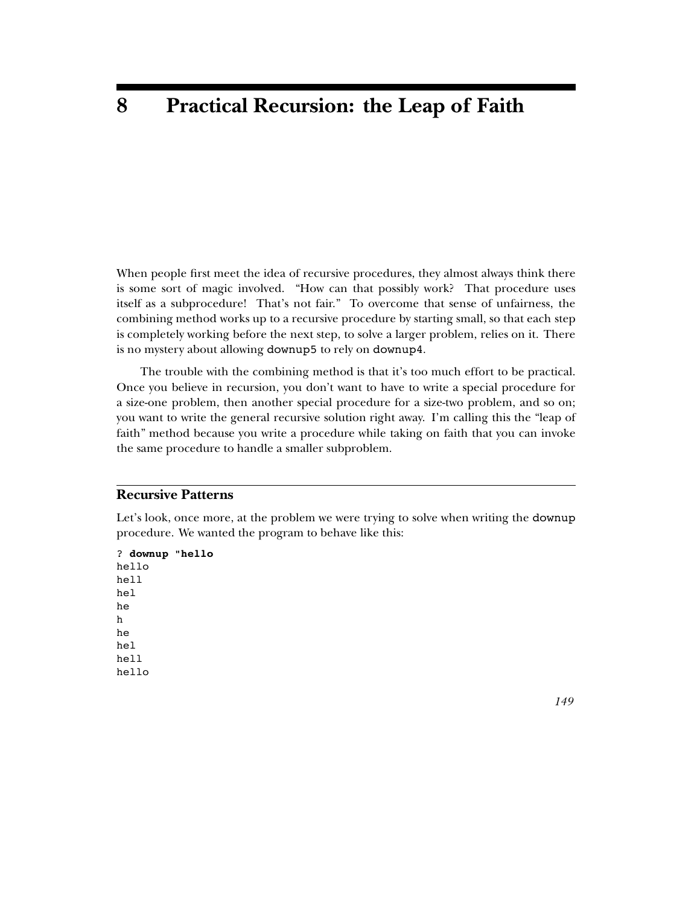# **8 Practical Recursion: the Leap of Faith**

is no mystery about allowing downup5 to rely on downup4. When people first meet the idea of recursive procedures, they almost always think there is some sort of magic involved. "How can that possibly work? That procedure uses itself as a subprocedure! That's not fair." To overcome that sense of unfairness, the combining method works up to a recursive procedure by starting small, so that each step is completely working before the next step, to solve a larger problem, relies on it. There

The trouble with the combining method is that it's too much effort to be practical. Once you believe in recursion, you don't want to have to write a special procedure for a size-one problem, then another special procedure for a size-two problem, and so on; you want to write the general recursive solution right away. I'm calling this the "leap of faith" method because you write a procedure while taking on faith that you can invoke the same procedure to handle a smaller subproblem.

## **Recursive Patterns**

Let's look, once more, at the problem we were trying to solve when writing the downup procedure. We wanted the program to behave like this:

**downup "hello** ? hello hell hel he h he hel hell hello

*149*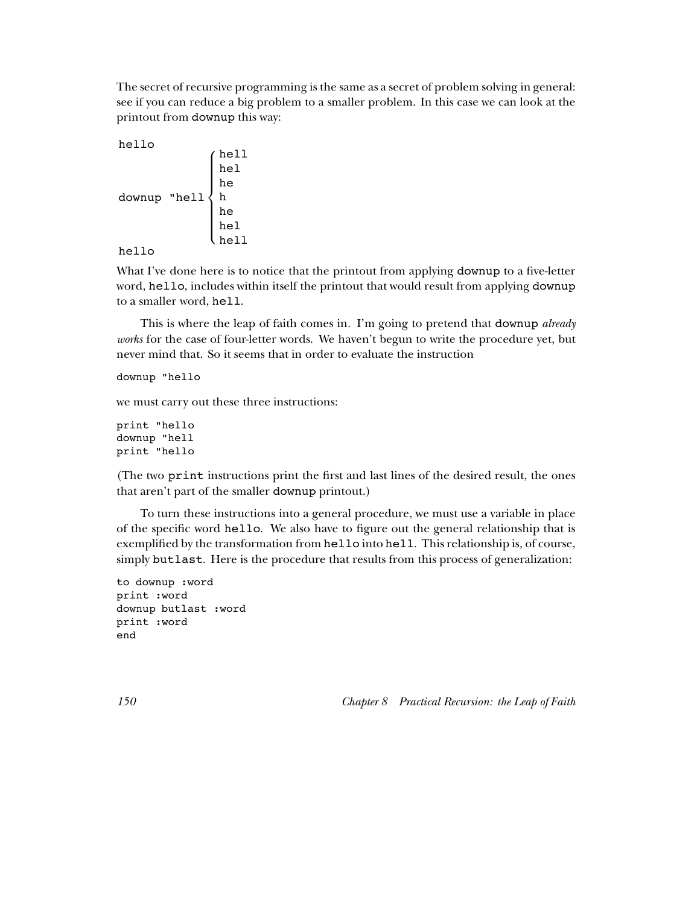printout from downup this way: The secret of recursive programming is the same as a secret of problem solving in general: see if you can reduce a big problem to a smaller problem. In this case we can look at the

```
\sqrt{ }
downup "hell
h
                           \begin{cases} h e \\ h e l \\ h e l l \end{cases}hello
                              hell
                              hel
                              he
                              he
                              hel
```
hello

What I've done here is to notice that the printout from applying downup to a five-letter word, <code>hello</code>, includes within itself the printout that would result from applying <code>downup</code> to a smaller word, hell.

This is where the leap of faith comes in. I'm going to pretend that downup *already works* for the case of four-letter words. We haven't begun to write the procedure yet, but never mind that. So it seems that in order to evaluate the instruction

downup "hello

we must carry out these three instructions:

```
print "hello
downup "hell
print "hello
```
(The two print instructions print the first and last lines of the desired result, the ones that aren't part of the smaller downup printout.)

of the specific word hello. We also have to figure out the general relationship that is exemplified by the transformation from <code>hello</code> into <code>hell.</code> This relationship is, of course, simply <code>butlast</code>. Here is the procedure that results from this process of generalization: To turn these instructions into a general procedure, we must use a variable in place

to downup :word print :word downup butlast :word print :word end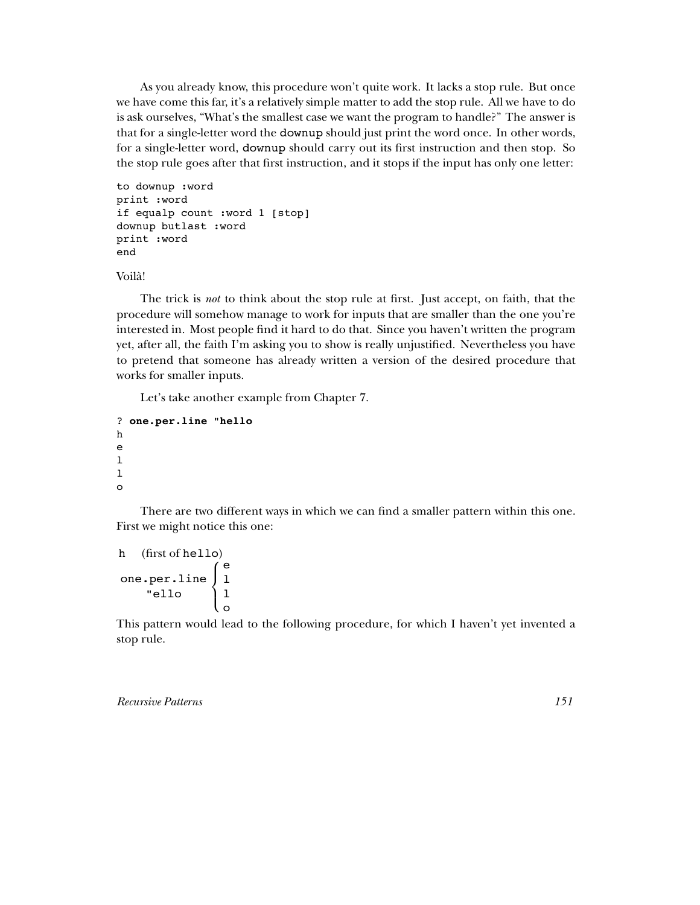that for a single-letter word the **downup** should just print the word once. In other words, for a single-letter word, downup should carry out its first instruction and then stop. So As you already know, this procedure won't quite work. It lacks a stop rule. But once we have come this far, it's a relatively simple matter to add the stop rule. All we have to do is ask ourselves, "What's the smallest case we want the program to handle?" The answer is the stop rule goes after that first instruction, and it stops if the input has only one letter:

```
to downup :word
print :word
if equalp count :word 1 [stop]
downup butlast :word
print :word
end
```
Voila!`

The trick is *not* to think about the stop rule at first. Just accept, on faith, that the procedure will somehow manage to work for inputs that are smaller than the one you're interested in. Most people find it hard to do that. Since you haven't written the program yet, after all, the faith I'm asking you to show is really unjustified. Nevertheless you have to pretend that someone has already written a version of the desired procedure that works for smaller inputs.

Let's take another example from Chapter 7.

```
one.per.line "hello
?
h
e
l
l
o
```
There are two different ways in which we can find a smaller pattern within this one. First we might notice this one:

```
\sqrt{ }
one.per.line
l
                          \begin{pmatrix} 1 \\ 0 \end{pmatrix}h (first of hello)
       "ello
                              e
                              o
```
This pattern would lead to the following procedure, for which I haven't yet invented a stop rule.

*Recursive Patterns 151*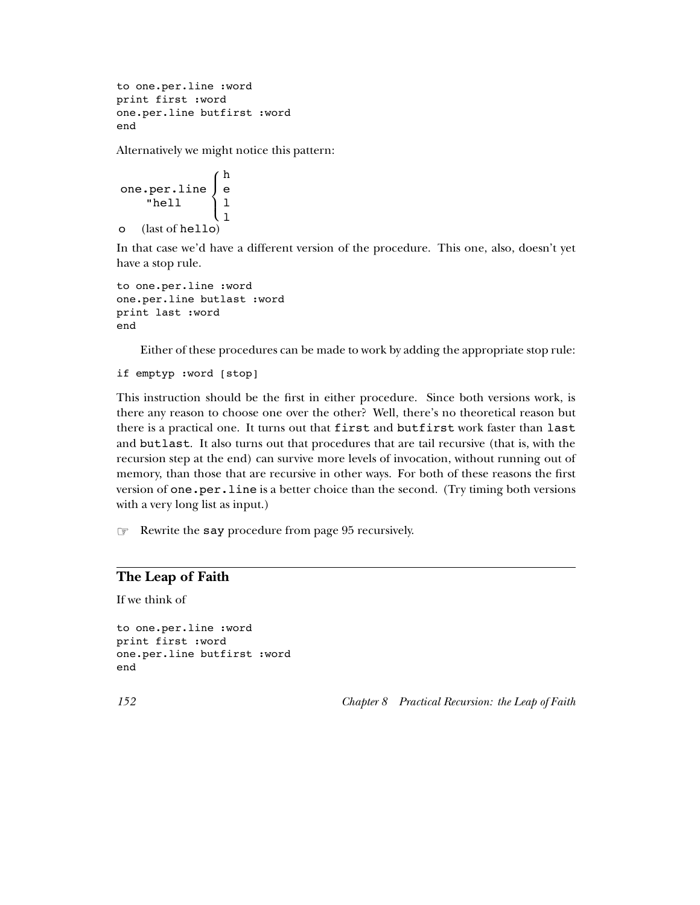```
to one.per.line :word
print first :word
one.per.line butfirst :word
end
```
Alternatively we might notice this pattern:

```
\sqrt{ }\int\overline{1}one.per.line
      "hell
                         h
                         e
                         l
                         l
o (last of hello)
```
In that case we'd have a different version of the procedure. This one, also, doesn't yet have a stop rule.

```
to one.per.line :word
one.per.line butlast :word
print last :word
end
```
Either of these procedures can be made to work by adding the appropriate stop rule:

```
if emptyp :word [stop]
```
there is a practical one. It turns out that first and butfirst work faster than last and <code>butlast</code>. It also turns out that procedures that are tail recursive (that is, with the version of one.per.line is a better choice than the second. (Try timing both versions This instruction should be the first in either procedure. Since both versions work, is there any reason to choose one over the other? Well, there's no theoretical reason but recursion step at the end) can survive more levels of invocation, without running out of memory, than those that are recursive in other ways. For both of these reasons the first with a very long list as input.)

☞ Rewrite the say procedure from page 95 recursively.

#### **The Leap of Faith**

If we think of

to one.per.line :word print first :word one.per.line butfirst :word end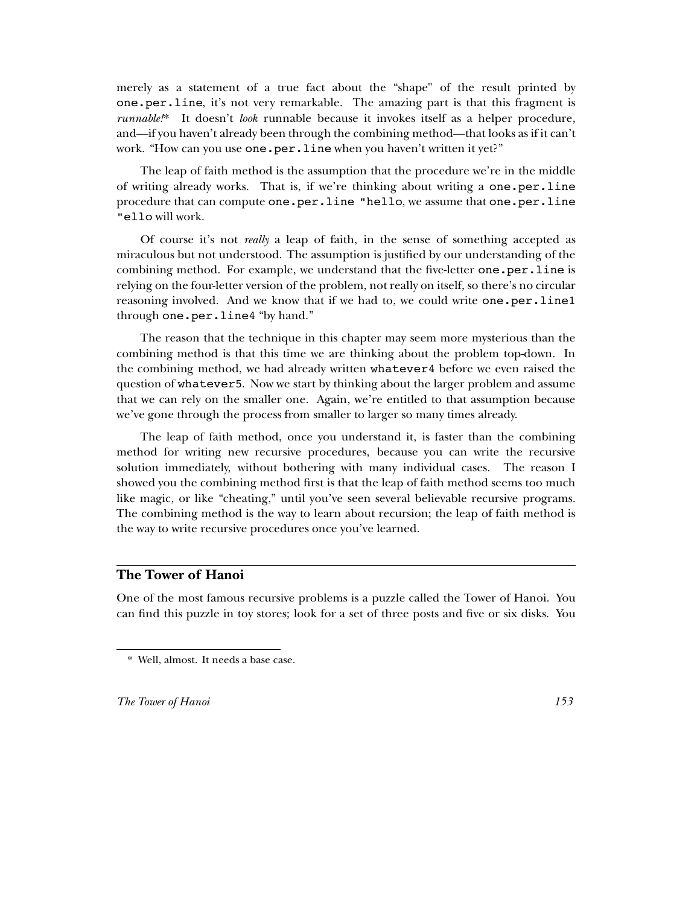*runnable!*\* It doesn't *look* runnable because it invokes itself as a helper procedure, one.per.line, it's not very remarkable. The amazing part is that this fragment is work. "How can you use <code>one.per.line</code> when you haven't written it yet?" merely as a statement of a true fact about the "shape" of the result printed by and—if you haven't already been through the combining method—that looks as if it can't

of writing already works. That is, if we're thinking about writing a  $one.per.line$ procedure that can compute  $\mathsf{one.per.line}$  "hello, we assume that  $\mathsf{one.per.line}$ "ello will work. The leap of faith method is the assumption that the procedure we're in the middle

Of course it's not *really* a leap of faith, in the sense of something accepted as combining method. For example, we understand that the five-letter one. per.line is reasoning involved. And we know that if we had to, we could write one.per.line1 through one.per.line4 "by hand." miraculous but not understood. The assumption is justified by our understanding of the relying on the four-letter version of the problem, not really on itself, so there's no circular

the combining method, we had already written whatever4 before we even raised the question of whatever5. Now we start by thinking about the larger problem and assume The reason that the technique in this chapter may seem more mysterious than the combining method is that this time we are thinking about the problem top-down. In that we can rely on the smaller one. Again, we're entitled to that assumption because we've gone through the process from smaller to larger so many times already.

The leap of faith method, once you understand it, is faster than the combining method for writing new recursive procedures, because you can write the recursive solution immediately, without bothering with many individual cases. The reason I showed you the combining method first is that the leap of faith method seems too much like magic, or like "cheating," until you've seen several believable recursive programs. The combining method is the way to learn about recursion; the leap of faith method is the way to write recursive procedures once you've learned.

## **The Tower of Hanoi**

One of the most famous recursive problems is a puzzle called the Tower of Hanoi. You can find this puzzle in toy stores; look for a set of three posts and five or six disks. You

*The Tower of Hanoi 153*

<sup>\*</sup> Well, almost. It needs a base case.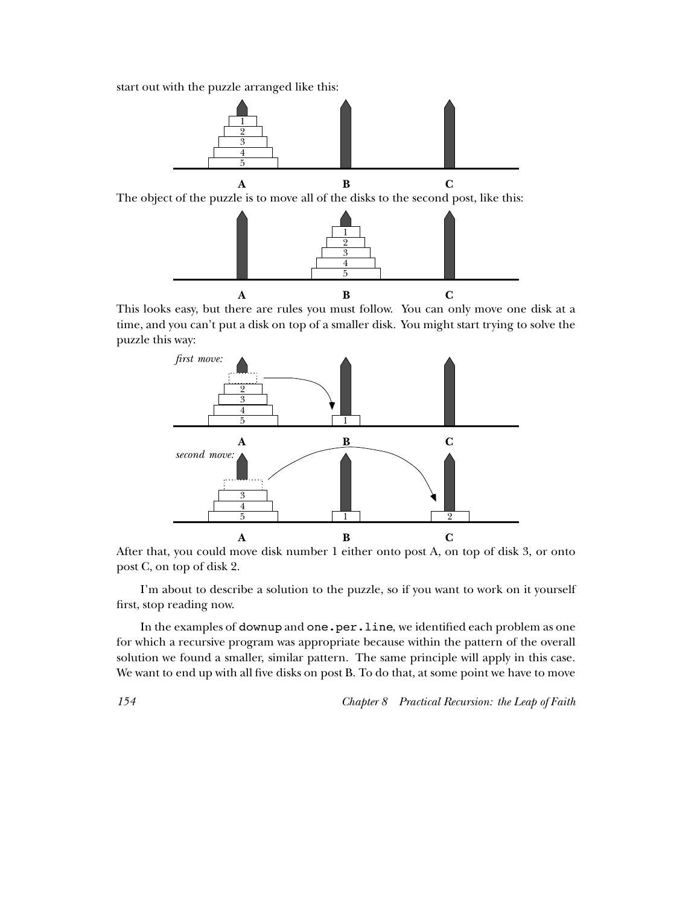start out with the puzzle arranged like this:



This looks easy, but there are rules you must follow. You can only move one disk at a time, and you can't put a disk on top of a smaller disk. You might start trying to solve the puzzle this way:



After that, you could move disk number 1 either onto post A, on top of disk 3, or onto post C, on top of disk 2.

I'm about to describe a solution to the puzzle, so if you want to work on it yourself first, stop reading now.

In the examples of downup and one.  $peru$  ine, we identified each problem as one for which a recursive program was appropriate because within the pattern of the overall solution we found a smaller, similar pattern. The same principle will apply in this case. We want to end up with all five disks on post B. To do that, at some point we have to move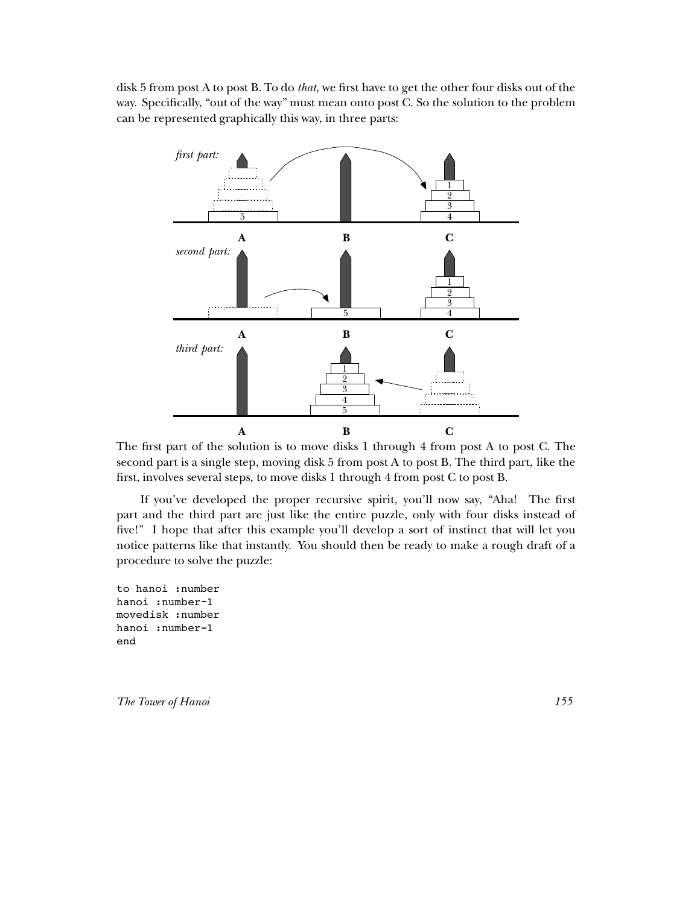disk 5 from post A to post B. To do *that,* we first have to get the other four disks out of the way. Specifically, "out of the way" must mean onto post C. So the solution to the problem can be represented graphically this way, in three parts:



The first part of the solution is to move disks 1 through 4 from post A to post C. The second part is a single step, moving disk 5 from post A to post B. The third part, like the first, involves several steps, to move disks 1 through 4 from post C to post B.

If you've developed the proper recursive spirit, you'll now say, "Aha! The first part and the third part are just like the entire puzzle, only with four disks instead of five!" I hope that after this example you'll develop a sort of instinct that will let you notice patterns like that instantly. You should then be ready to make a rough draft of a procedure to solve the puzzle:

to hanoi :number hanoi :number-1 movedisk :number hanoi :number-1 end

*The Tower of Hanoi 155*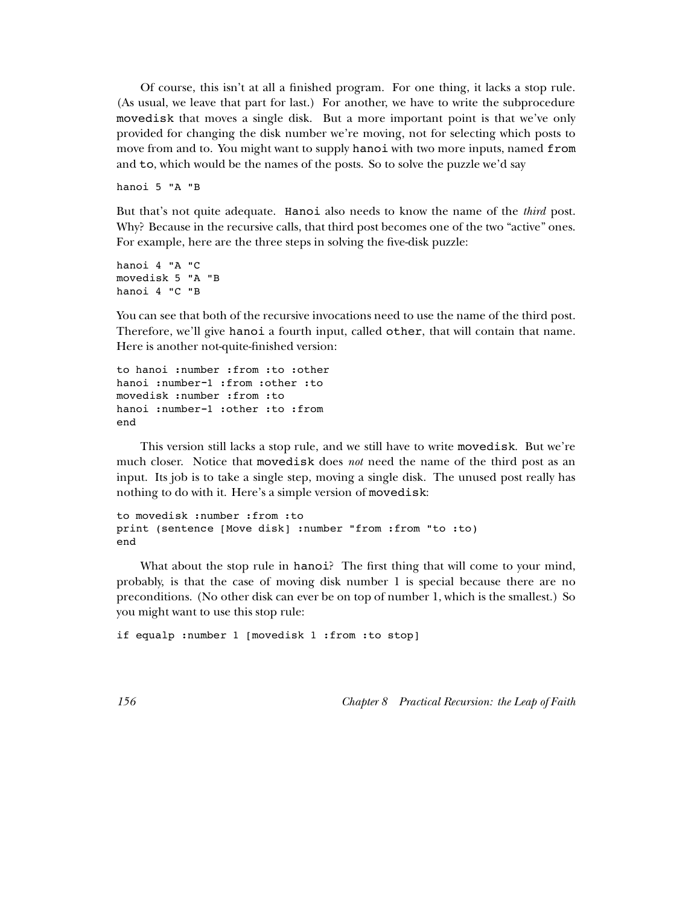movedisk that moves a single disk. But a more important point is that we've only move from and to. You might want to supply hanoi with two more inputs, named from and to, which would be the names of the posts. So to solve the puzzle we'd say Of course, this isn't at all a finished program. For one thing, it lacks a stop rule. (As usual, we leave that part for last.) For another, we have to write the subprocedure provided for changing the disk number we're moving, not for selecting which posts to

hanoi 5 "A "B

But that's not quite adequate. Hanoi also needs to know the name of the *third* post. Why? Because in the recursive calls, that third post becomes one of the two "active" ones. For example, here are the three steps in solving the five-disk puzzle:

```
hanoi 4 "A "C
movedisk 5 "A "B
hanoi 4 "C "B
```
Therefore, we'll give hanoi a fourth input, called other, that will contain that name. You can see that both of the recursive invocations need to use the name of the third post. Here is another not-quite-finished version:

```
to hanoi :number :from :to :other
hanoi :number-1 :from :other :to
movedisk :number :from :to
hanoi :number-1 :other :to :from
end
```
much closer. Notice that movedisk does not need the name of the third post as an This version still lacks a stop rule, and we still have to write movedisk. But we're nothing to do with it. Here's a simple version of movedisk: input. Its job is to take a single step, moving a single disk. The unused post really has

```
to movedisk :number :from :to
print (sentence [Move disk] :number "from :from "to :to)
end
```
What about the stop rule in hanoi? The first thing that will come to your mind, probably, is that the case of moving disk number 1 is special because there are no preconditions. (No other disk can ever be on top of number 1, which is the smallest.) So you might want to use this stop rule:

if equalp :number 1 [movedisk 1 :from :to stop]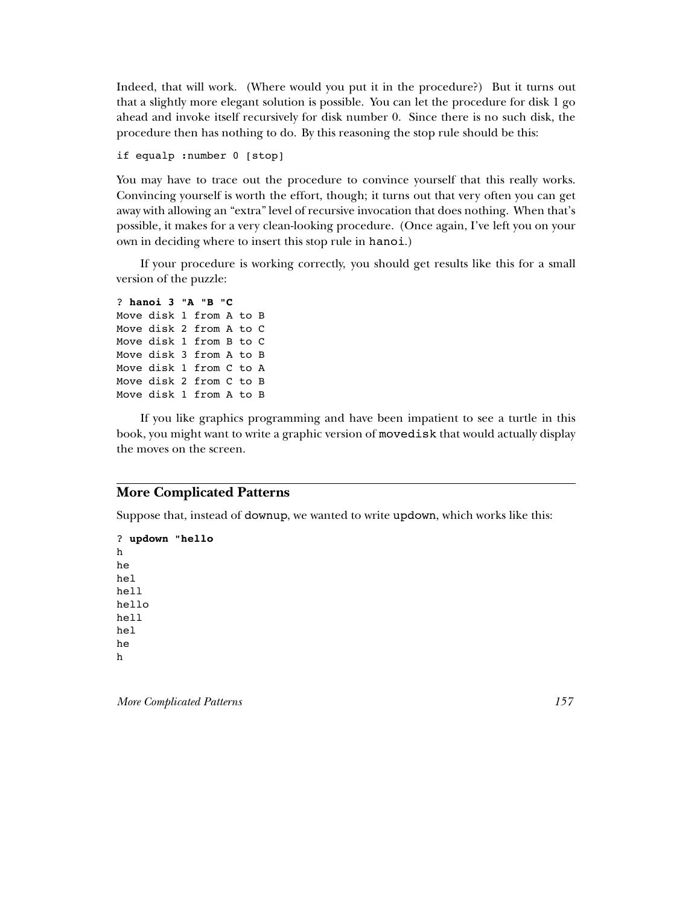Indeed, that will work. (Where would you put it in the procedure?) But it turns out that a slightly more elegant solution is possible. You can let the procedure for disk 1 go ahead and invoke itself recursively for disk number 0. Since there is no such disk, the procedure then has nothing to do. By this reasoning the stop rule should be this:

```
if equalp :number 0 [stop]
```
own in deciding where to insert this stop rule in hanoi.) You may have to trace out the procedure to convince yourself that this really works. Convincing yourself is worth the effort, though; it turns out that very often you can get away with allowing an "extra" level of recursive invocation that does nothing. When that's possible, it makes for a very clean-looking procedure. (Once again, I've left you on your

If your procedure is working correctly, you should get results like this for a small version of the puzzle:

```
hanoi 3 "A "B "C
?
Move disk 1 from A to B
Move disk 2 from A to C
Move disk 1 from B to C
Move disk 3 from A to B
Move disk 1 from C to A
Move disk 2 from C to B
Move disk 1 from A to B
```
book, you might want to write a graphic version of  $\mathsf{movedisk}$  that would actually display If you like graphics programming and have been impatient to see a turtle in this the moves on the screen.

## **More Complicated Patterns**

Suppose that, instead of downup, we wanted to write updown, which works like this:

```
updown "hello
?
h
he
hel
hell
hello
hell
hel
he
h
```
*More Complicated Patterns 157*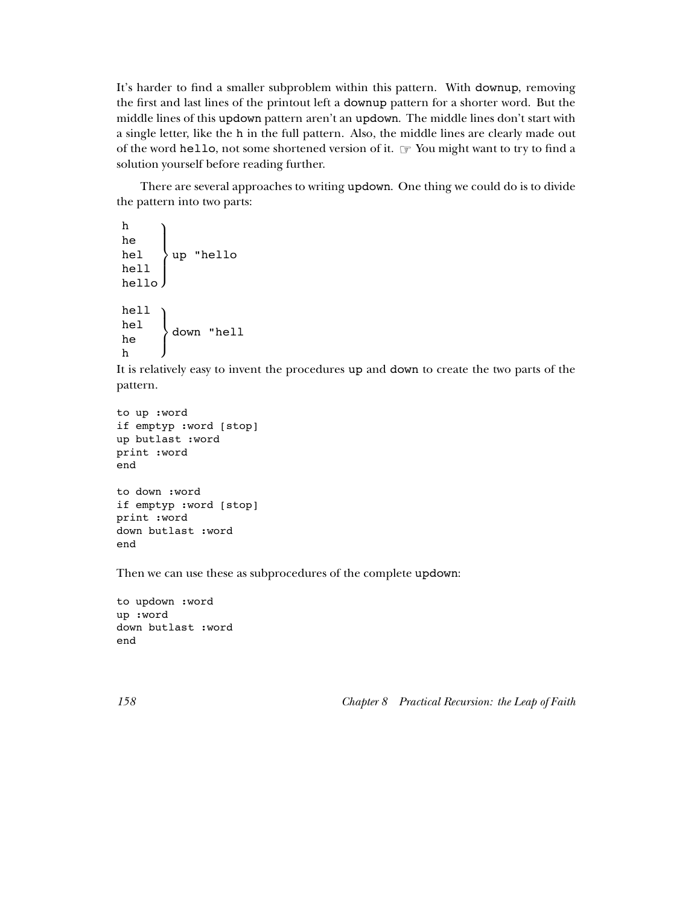of the word <code>hello</code>, not some shortened version of it.  $\textcolor{red}{\mathcal{F}}$  You might want to try to find a It's harder to find a smaller subproblem within this pattern. With downup, removing the first and last lines of the printout left a **downup** pattern for a shorter word. But the middle lines of this updown pattern aren't an updown. The middle lines don't start with a single letter, like the h in the full pattern. Also, the middle lines are clearly made out solution yourself before reading further.

There are several approaches to writing updown. One thing we could do is to divide the pattern into two parts:

```
\mathbf{r}\Big\}up "hello
hell<br>hello丿
         \mathbf{r}\overline{a}\inth
he
hel
hell
hell
hel
he
h
            down "hell
```
It is relatively easy to invent the procedures up and down to create the two parts of the pattern.

```
to up :word
if emptyp :word [stop]
up butlast :word
print :word
end
to down :word
if emptyp :word [stop]
print :word
down butlast :word
end
```
Then we can use these as subprocedures of the complete updown:

to updown :word up :word down butlast :word end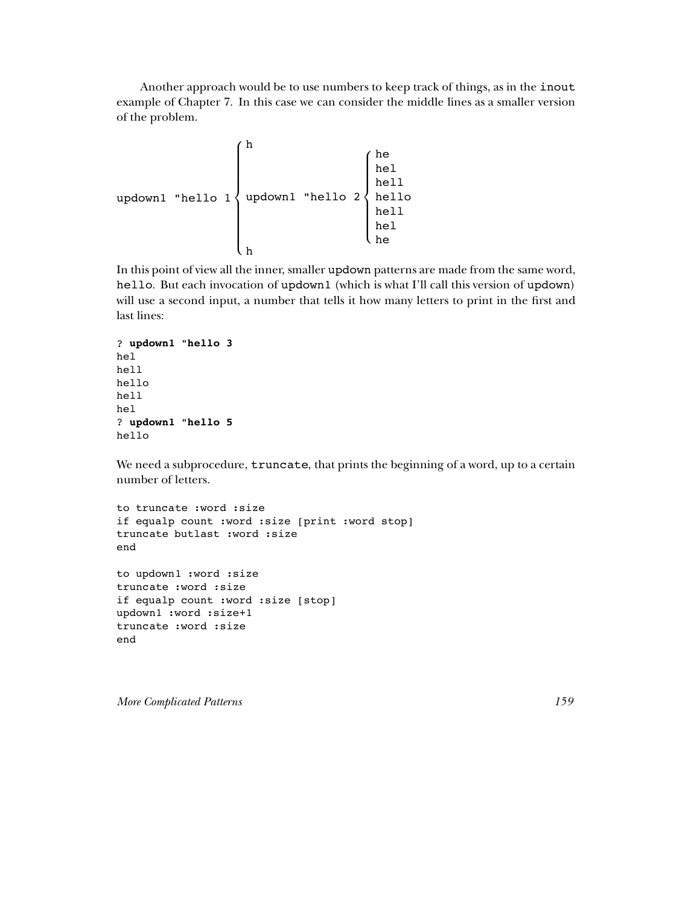Another approach would be to use numbers to keep track of things, as in the <code>inout</code> example of Chapter 7. In this case we can consider the middle lines as a smaller version of the problem.

```
\sqrt{ }\overline{\phantom{a}}\begin{array}{c} \hline \end{array}\sqrt{ }\begin{matrix} \phantom{-} \\ \phantom{-} \end{matrix}\overline{\phantom{a}}updown1 "hello 1
                                                           h
                                                           updown1 "hello 2
                                                                                                                      he
                                                                                                                      hel
                                                                                                                      hell
                                                                                                                      hello
                                                                                                                      hell
                                                                                                                      hel
                                                                                                                      he
                                                           h
```
In this point of view all the inner, smaller **updown** patterns are made from the same word, hello. But each invocation of updown1 (which is what I'll call this version of updown) will use a second input, a number that tells it how many letters to print in the first and last lines:

```
updown1 "hello 3
?
updown1 "hello 5
?
hel
hell
hello
hell
hel
hello
```
We need a subprocedure, <code>truncate</code>, that prints the beginning of a word, up to a certain number of letters.

```
to truncate :word :size
if equalp count :word :size [print :word stop]
truncate butlast :word :size
end
```
to updown1 :word :size truncate :word :size if equalp count :word :size [stop] updown1 :word :size+1 truncate :word :size end

*More Complicated Patterns 159*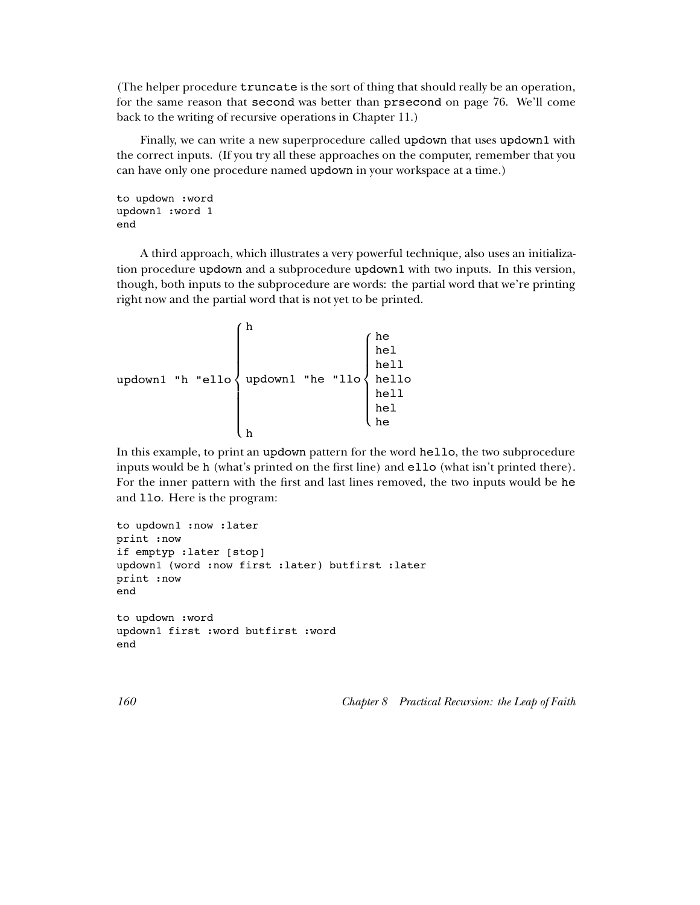(The helper procedure truncate is the sort of thing that should really be an operation, for the same reason that  $second$  was better than  $present$  production page  $76.$  We'll come back to the writing of recursive operations in Chapter 11.)

Finally, we can write a new superprocedure called updown that uses updown1 with can have only one procedure named updown in your workspace at a time.) the correct inputs. (If you try all these approaches on the computer, remember that you

to updown :word updown1 :word 1 end

tion procedure updown and a subprocedure updown1 with two inputs. In this version, A third approach, which illustrates a very powerful technique, also uses an initializathough, both inputs to the subprocedure are words: the partial word that we're printing right now and the partial word that is not yet to be printed.

$$
\text{updown1 "h "ello} \left\{\begin{array}{c} h \\ \\ \\ \\ \\ \\ \\ \\ h \end{array}\right.
$$

In this example, to print an updown pattern for the word hello, the two subprocedure inputs would be h (what's printed on the first line) and ello (what isn't printed there). For the inner pattern with the first and last lines removed, the two inputs would be he and 110. Here is the program:

```
to updown1 :now :later
print :now
if emptyp :later [stop]
updown1 (word :now first :later) butfirst :later
print :now
end
to updown :word
updown1 first :word butfirst :word
end
```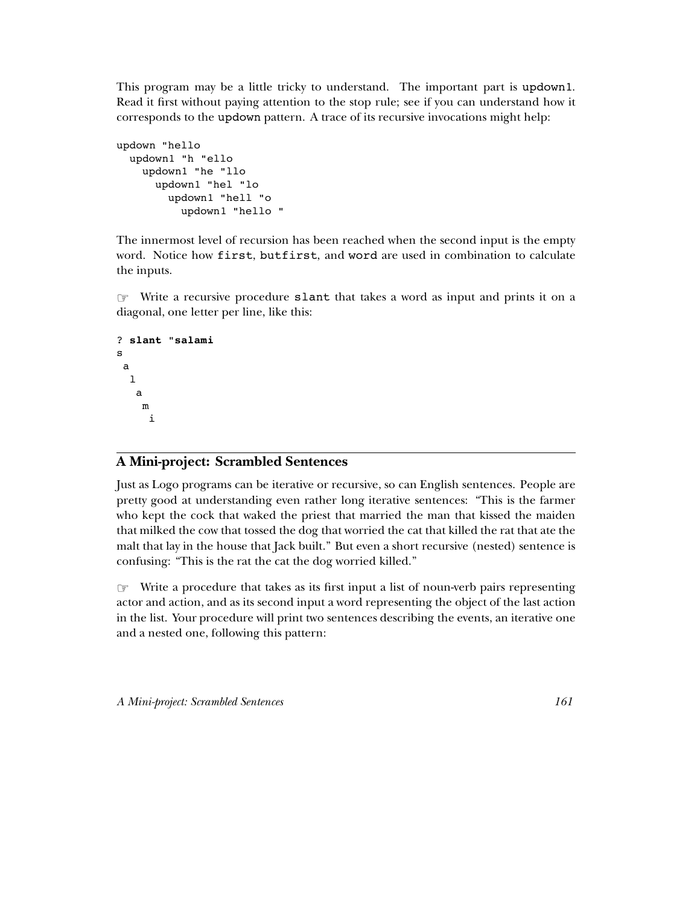This program may be a little tricky to understand. The important part is updown1. corresponds to the updown pattern. A trace of its recursive invocations might help: Read it first without paying attention to the stop rule; see if you can understand how it

```
updown "hello
 updown1 "h "ello
   updown1 "he "llo
     updown1 "hel "lo
        updown1 "hell "o
          updown1 "hello "
```
word. Notice how first, butfirst, and word are used in combination to calculate The innermost level of recursion has been reached when the second input is the empty the inputs.

☞ slant Write a recursive procedure that takes a word as input and prints it on a diagonal, one letter per line, like this:

```
slant "salami
?
s
a
  l
   a
    m
     i
```
## **A Mini-project: Scrambled Sentences**

Just as Logo programs can be iterative or recursive, so can English sentences. People are pretty good at understanding even rather long iterative sentences: "This is the farmer who kept the cock that waked the priest that married the man that kissed the maiden that milked the cow that tossed the dog that worried the cat that killed the rat that ate the malt that lay in the house that Jack built." But even a short recursive (nested) sentence is confusing: "This is the rat the cat the dog worried killed."

☞ Write a procedure that takes as its first input a list of noun-verb pairs representing actor and action, and as its second input a word representing the object of the last action in the list. Your procedure will print two sentences describing the events, an iterative one and a nested one, following this pattern:

*A Mini-project: Scrambled Sentences 161*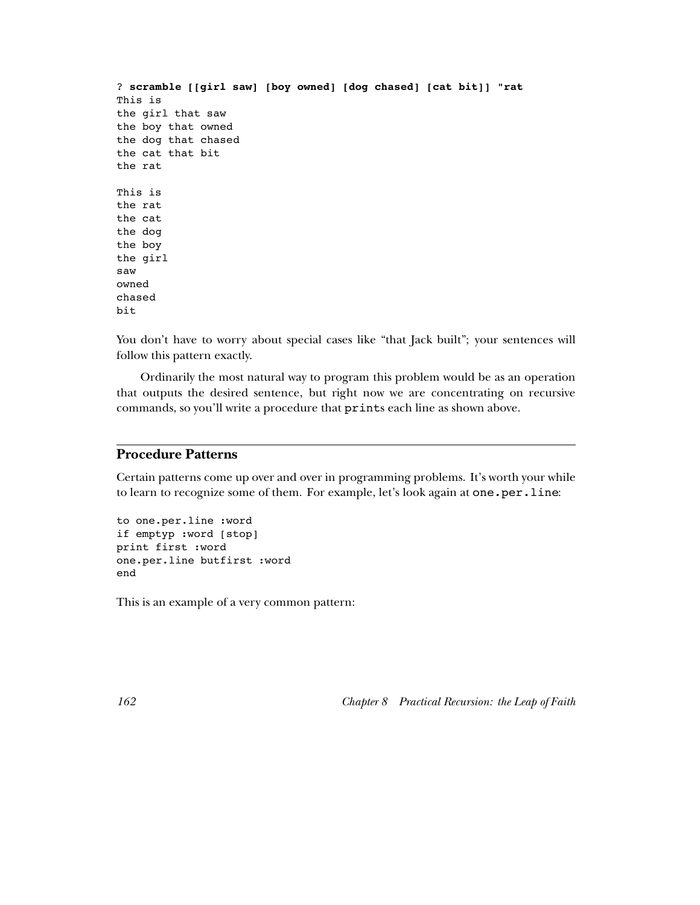```
? scramble [[girl saw] [boy owned] [dog chased] [cat bit]] "rat
This is
the girl that saw
the boy that owned
the dog that chased
the cat that bit
the rat
This is
the rat
the cat
the dog
the boy
the girl
saw
owned
chased
bit
```
You don't have to worry about special cases like "that Jack built"; your sentences will follow this pattern exactly.

commands, so you'll write a procedure that prints each line as shown above. Ordinarily the most natural way to program this problem would be as an operation that outputs the desired sentence, but right now we are concentrating on recursive

## **Procedure Patterns**

to learn to recognize some of them. For example, let's look again at  $\mathsf{one}.\mathsf{per}.\mathsf{line}$ : Certain patterns come up over and over in programming problems. It's worth your while

```
to one.per.line :word
if emptyp :word [stop]
print first :word
one.per.line butfirst :word
end
```
This is an example of a very common pattern: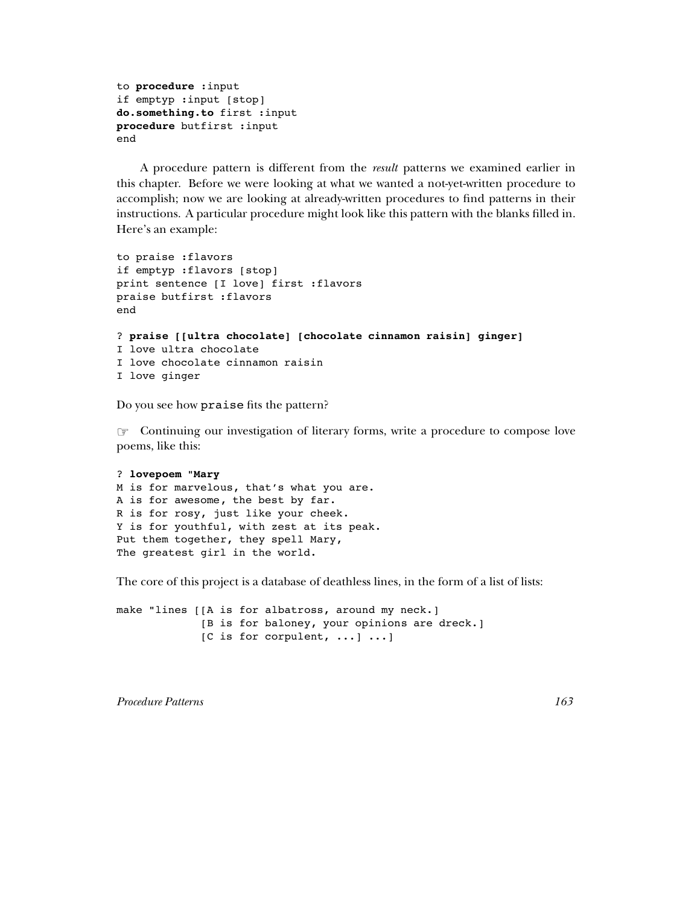```
to procedure : input
do.something.to
first :input
procedure
butfirst :input
if emptyp :input [stop]
end
```
A procedure pattern is different from the *result* patterns we examined earlier in this chapter. Before we were looking at what we wanted a not-yet-written procedure to accomplish; now we are looking at already-written procedures to find patterns in their instructions. A particular procedure might look like this pattern with the blanks filled in. Here's an example:

```
praise [[ultra chocolate] [chocolate cinnamon raisin] ginger]
?
to praise :flavors
if emptyp :flavors [stop]
print sentence [I love] first :flavors
praise butfirst :flavors
end
I love ultra chocolate
I love chocolate cinnamon raisin
I love ginger
```
Do you see how praise fits the pattern?

☞ Continuing our investigation of literary forms, write a procedure to compose love poems, like this:

```
lovepoem "Mary
?
M is for marvelous, that's what you are.
A is for awesome, the best by far.
R is for rosy, just like your cheek.
Y is for youthful, with zest at its peak.
Put them together, they spell Mary,
The greatest girl in the world.
```
The core of this project is a database of deathless lines, in the form of a list of lists:

make "lines [[A is for albatross, around my neck.] [B is for baloney, your opinions are dreck.] [C is for corpulent, ...] ...]

*Procedure Patterns 163*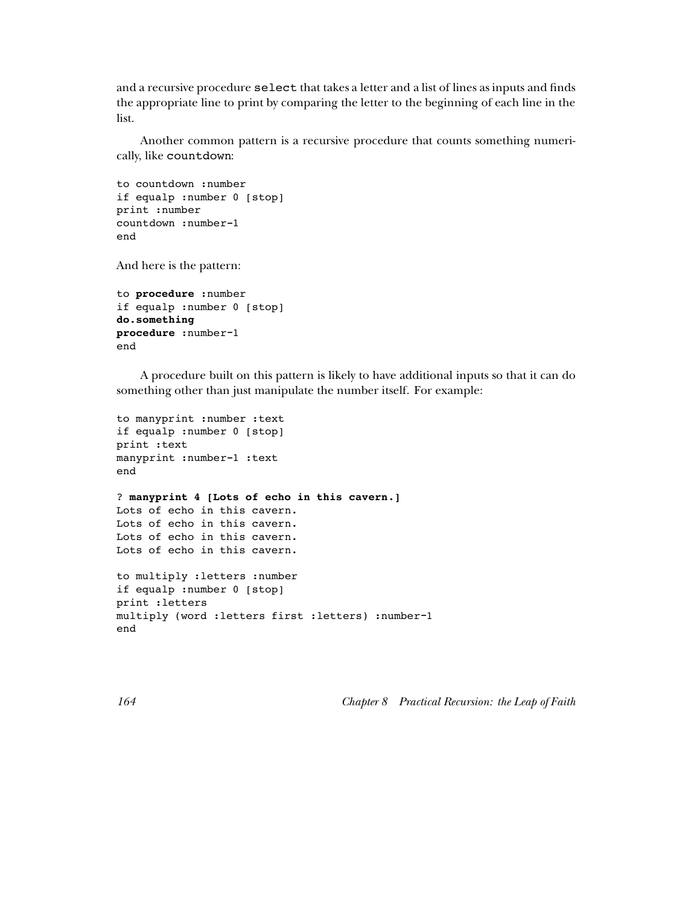and a recursive procedure  $\texttt{select}$  that takes a letter and a list of lines as inputs and finds the appropriate line to print by comparing the letter to the beginning of each line in the list.

cally, like countdown: Another common pattern is a recursive procedure that counts something numeri-

```
to countdown :number
if equalp :number 0 [stop]
print :number
countdown :number-1
end
```
And here is the pattern:

```
to procedure : number
do.something
procedure
:number-1
if equalp :number 0 [stop]
end
```
A procedure built on this pattern is likely to have additional inputs so that it can do something other than just manipulate the number itself. For example:

```
manyprint 4 [Lots of echo in this cavern.]
?
to manyprint :number :text
if equalp :number 0 [stop]
print :text
manyprint :number-1 :text
end
Lots of echo in this cavern.
Lots of echo in this cavern.
Lots of echo in this cavern.
Lots of echo in this cavern.
to multiply :letters :number
if equalp :number 0 [stop]
print :letters
multiply (word :letters first :letters) :number-1
end
```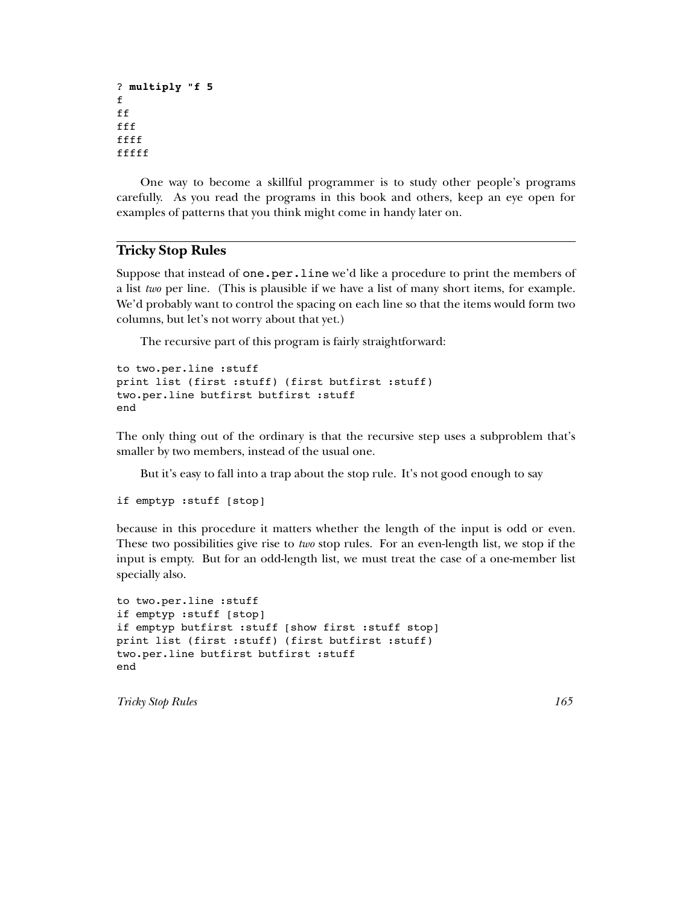```
multiply "f 5
?
f
f ffff
ffff
fffff
```
One way to become a skillful programmer is to study other people's programs carefully. As you read the programs in this book and others, keep an eye open for examples of patterns that you think might come in handy later on.

## **Tricky Stop Rules**

Suppose that instead of  $\mathsf{one}.\mathsf{per}.\mathsf{line}$  we'd like a procedure to print the members of a list *two* per line. (This is plausible if we have a list of many short items, for example. We'd probably want to control the spacing on each line so that the items would form two columns, but let's not worry about that yet.)

The recursive part of this program is fairly straightforward:

```
to two.per.line :stuff
print list (first :stuff) (first butfirst :stuff)
two.per.line butfirst butfirst :stuff
end
```
The only thing out of the ordinary is that the recursive step uses a subproblem that's smaller by two members, instead of the usual one.

But it's easy to fall into a trap about the stop rule. It's not good enough to say

```
if emptyp :stuff [stop]
```
These two possibilities give rise to *two* stop rules. For an even-length list, we stop if the because in this procedure it matters whether the length of the input is odd or even. input is empty. But for an odd-length list, we must treat the case of a one-member list specially also.

```
to two.per.line :stuff
if emptyp :stuff [stop]
if emptyp butfirst :stuff [show first :stuff stop]
print list (first :stuff) (first butfirst :stuff)
two.per.line butfirst butfirst :stuff
end
```
*Tricky Stop Rules 165*